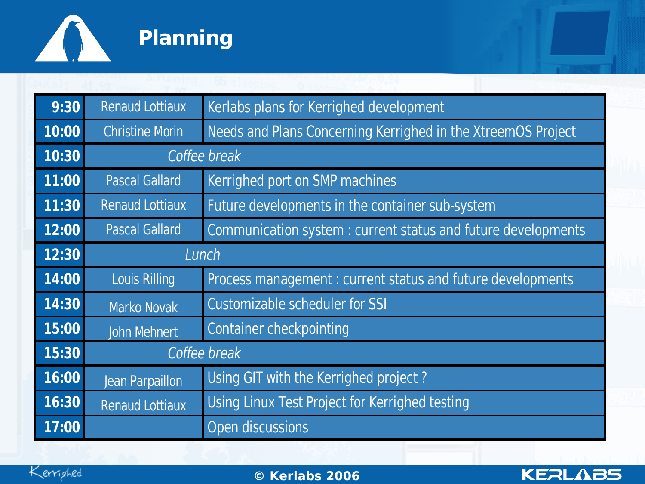

| 9:30            | <b>Renaud Lottiaux</b> | Kerlabs plans for Kerrighed development                      |
|-----------------|------------------------|--------------------------------------------------------------|
| 10:00           | <b>Christine Morin</b> | Needs and Plans Concerning Kerrighed in the XtreemOS Project |
| 10:30           | Coffee break           |                                                              |
| $\boxed{11:00}$ | <b>Pascal Gallard</b>  | Kerrighed port on SMP machines                               |
| 11:30           | <b>Renaud Lottiaux</b> | Future developments in the container sub-system              |
| 12:00           | <b>Pascal Gallard</b>  | Communication system: current status and future developments |
| 12:30           | Lunch                  |                                                              |
| 14:00           | <b>Louis Rilling</b>   | Process management: current status and future developments   |
| 14:30           | Marko Novak            | Customizable scheduler for SSI                               |
| 15:00           | John Mehnert           | <b>Container checkpointing</b>                               |
| 15:30           | Coffee break           |                                                              |
| 16:00           | Jean Parpaillon        | Using GIT with the Kerrighed project?                        |
| 16:30           | <b>Renaud Lottiaux</b> | Using Linux Test Project for Kerrighed testing               |
| 17:00           |                        | Open discussions                                             |



02/0**©** 5/07**Ker** www.kerlabs.com 1 **labs 2006**

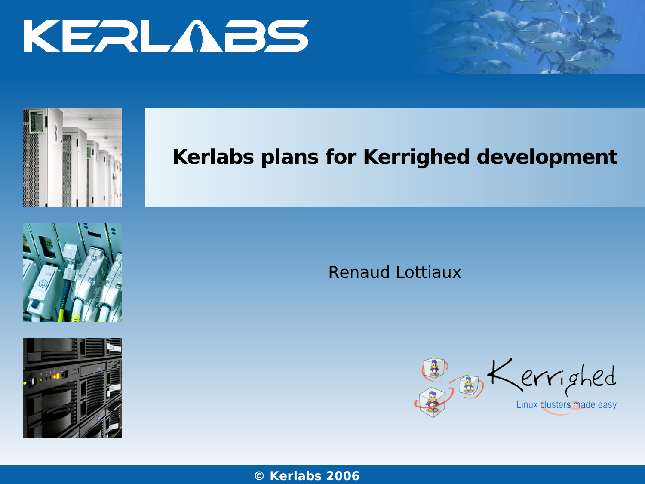



# **Kerlabs plans for Kerrighed development**





Renaud Lottiaux



**© Ker** w**l** <sup>w</sup>**a**w**b**.k**s** erl**2**ab**0**s.c**06**om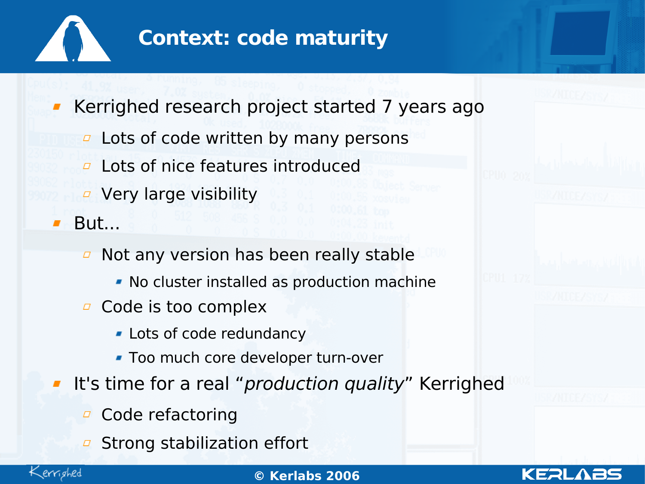

## **Context: code maturity**

Kerrighed research project started 7 years ago

- $\overline{P}$  Lots of code written by many persons
- Lots of nice features introduced  $\Box$
- Very large visibility

■ But...

- Not any version has been really stable  $\varpi$ 
	- No cluster installed as production machine
- **D** Code is too complex
	- **-** Lots of code redundancy
	- Too much core developer turn-over
- It's time for a real "*production quality*" Kerrighed
	- Code refactoring  $\overline{\mathcal{L}}$
	- Strong stabilization effort



02/0**©** 5/07**Ker** www.kerlabs.com 3 **labs 2006**

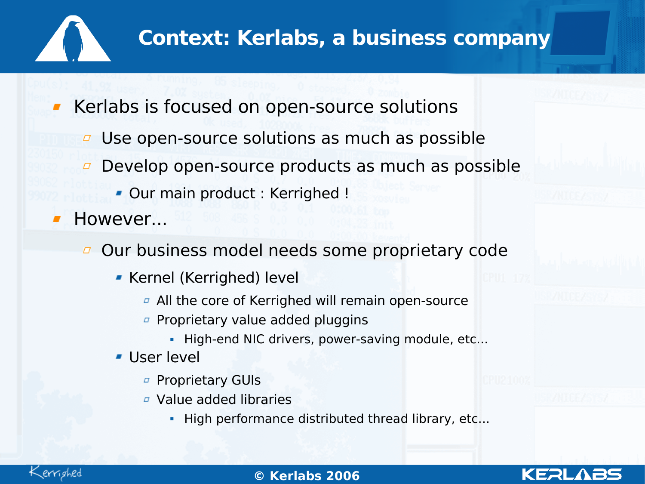

### **Context: Kerlabs, a business company**

Kerlabs is focused on open-source solutions

- Use open-source solutions as much as possible  $\Box$
- Develop open-source products as much as possible  $\varpi$ 
	- **Our main product : Kerrighed !**
- However...

Our business model needs some proprietary code

- **Kernel (Kerrighed) level** 
	- $\sigma$  All the core of Kerrighed will remain open-source
	- **Proprietary value added pluggins** 
		- High-end NIC drivers, power-saving module, etc...
- **User level** 
	- *¤* Proprietary GUIs
	- Value added libraries
		- High performance distributed thread library, etc...

KERI



#### 02/0**©** 5/07**Ker** www.kerlabs.com 4 **labs 2006**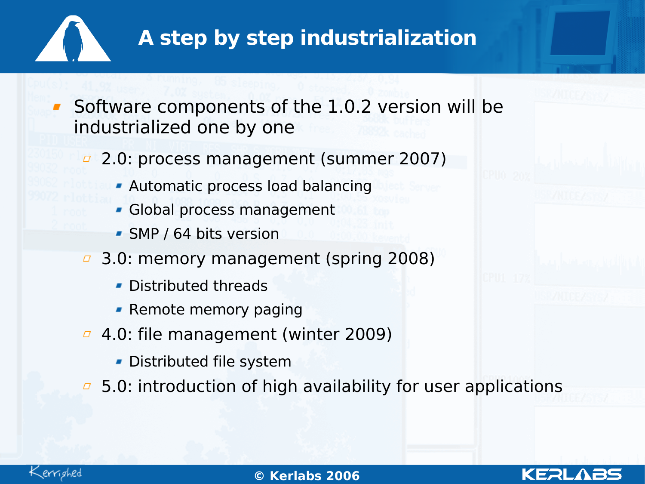

- **Software components of the 1.0.2 version will be** industrialized one by one
	- 2.0: process management (summer 2007)
		- Automatic process load balancing
		- Global process management
		- SMP / 64 bits version
	- 3.0: memory management (spring 2008)  $\varpi$ 
		- Distributed threads
		- **Remote memory paging**
	- 4.0: file management (winter 2009)
		- Distributed file system
	- $\overline{5}$  5.0: introduction of high availability for user applications

KERI

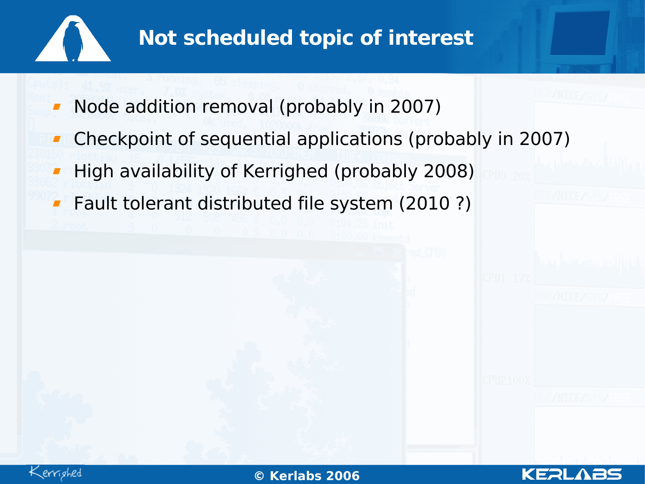

# **Not scheduled topic of interest**

- Node addition removal (probably in 2007)
- Checkpoint of sequential applications (probably in 2007)
- High availability of Kerrighed (probably 2008)
- Fault tolerant distributed file system (2010 ?)



KERL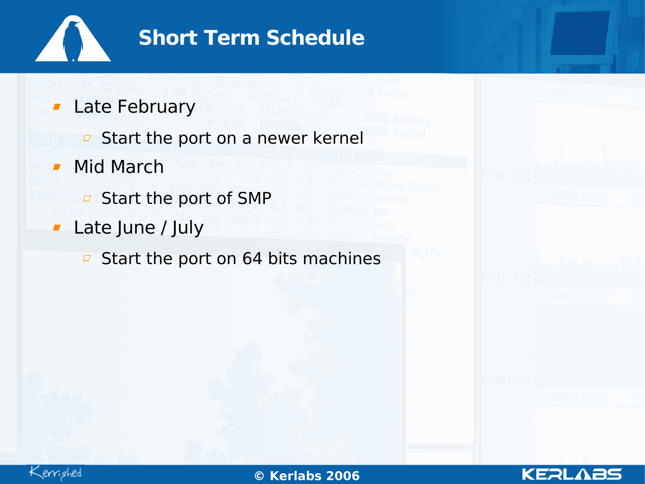

### **Short Term Schedule**

- Late February  $\blacksquare$ 
	- **B** Start the port on a newer kernel
- Mid March  $\blacksquare$ 
	- $\overline{a}$  Start the port of SMP
- **Late June / July** 
	- Start the port on 64 bits machines $\varpi$



02/0**©** 5/07**Ker** www.kerlabs.com 7 **labs 2006**

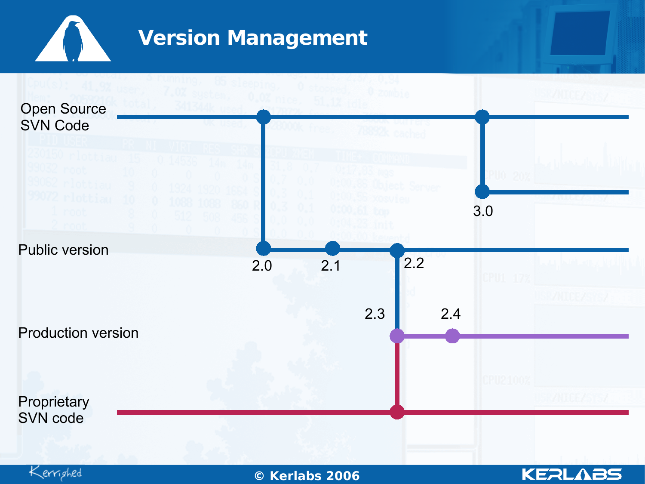

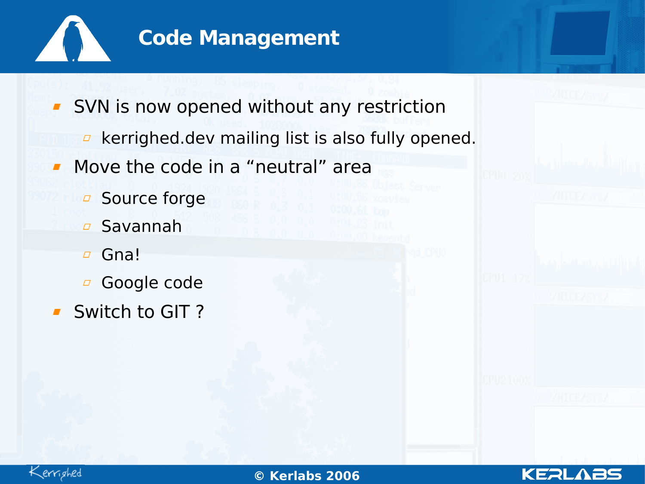

**SVN** is now opened without any restriction  $\overline{P}$  kerrighed.dev mailing list is also fully opened.

- Move the code in a "neutral" area  $\mathbf{r}$ 
	- Source forge  $\overline{a}$
	- Savannah  $\Box$
	- Gna!  $\varpi$
	- Google code  $\varpi$
- **Switch to GIT?**



02/0**©** 5/07**Ker** www.kerlabs.com 9 **labs 2006**